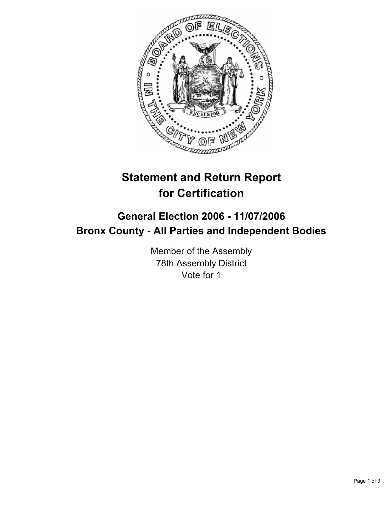

# **Statement and Return Report for Certification**

# **General Election 2006 - 11/07/2006 Bronx County - All Parties and Independent Bodies**

Member of the Assembly 78th Assembly District Vote for 1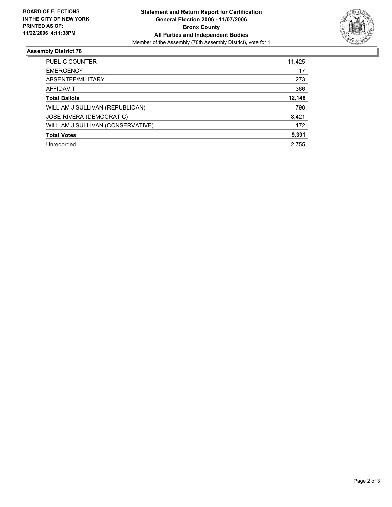

## **Assembly District 78**

| PUBLIC COUNTER                    | 11,425 |
|-----------------------------------|--------|
| <b>EMERGENCY</b>                  | 17     |
| ABSENTEE/MILITARY                 | 273    |
| <b>AFFIDAVIT</b>                  | 366    |
| <b>Total Ballots</b>              | 12,146 |
| WILLIAM J SULLIVAN (REPUBLICAN)   | 798    |
| <b>JOSE RIVERA (DEMOCRATIC)</b>   | 8,421  |
| WILLIAM J SULLIVAN (CONSERVATIVE) | 172    |
| <b>Total Votes</b>                | 9,391  |
| Unrecorded                        | 2,755  |
|                                   |        |